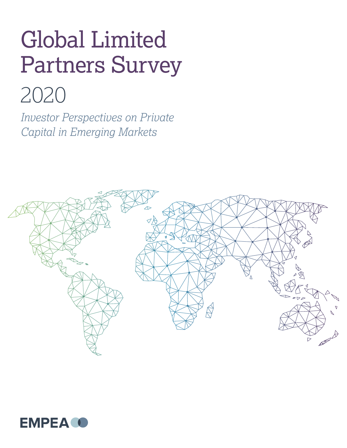# Global Limited Partners Survey

# 2020

*Investor Perspectives on Private Capital in Emerging Markets*



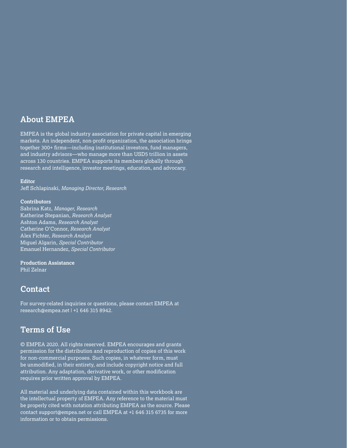### **About EMPEA**

EMPEA is the global industry association for private capital in emerging markets. An independent, non-profit organization, the association brings together 300+ firms—including institutional investors, fund managers, and industry advisors—who manage more than USD5 trillion in assets across 130 countries. EMPEA supports its members globally through research and intelligence, investor meetings, education, and advocacy.

#### **Editor**

Jeff Schlapinski, *Managing Director, Research*

#### **Contributors**

Sabrina Katz, *Manager, Research* Katherine Stepanian, *Research Analyst* Ashton Adams, *Research Analyst* Catherine O'Connor, *Research Analyst* Alex Fichter, *Research Analyst* Miguel Algarin, *Special Contributor* Emanuel Hernandez, *Special Contributor*

#### **Production Assistance**

Phil Zelnar

### **Contact**

For survey-related inquiries or questions, please contact EMPEA at [research@empea.net](mailto:research%40empea.net?subject=) | +1 646 315 8942.

### **Terms of Use**

© EMPEA 2020. All rights reserved. EMPEA encourages and grants permission for the distribution and reproduction of copies of this work for non-commercial purposes. Such copies, in whatever form, must be unmodified, in their entirety, and include copyright notice and full attribution. Any adaptation, derivative work, or other modification requires prior written approval by EMPEA.

All material and underlying data contained within this workbook are the intellectual property of EMPEA. Any reference to the material must be properly cited with notation attributing EMPEA as the source. Please contact [support@empea.net](mailto:support%40empea.net?subject=) or call EMPEA at +1 646 315 6735 for more information or to obtain permissions.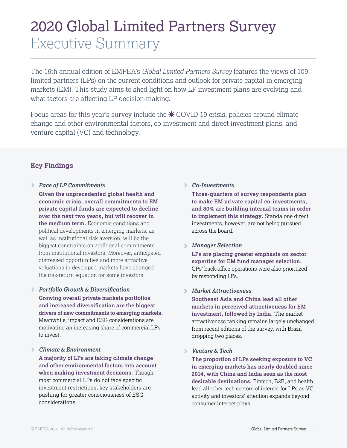# 2020 Global Limited Partners Survey Executive Summary

The 16th annual edition of EMPEA's *Global Limited Partners Survey* features the views of 109 limited partners (LPs) on the current conditions and outlook for private capital in emerging markets (EM). This study aims to shed light on how LP investment plans are evolving and what factors are affecting LP decision-making.

Focus areas for this year's survey include the  $\clubsuit$  COVID-19 crisis, policies around climate change and other environmental factors, co-investment and direct investment plans, and venture capital (VC) and technology.

### **Key Findings**

*Pace of LP Commitments* ▻

**Given the unprecedented global health and economic crisis, overall commitments to EM private capital funds are expected to decline over the next two years, but will recover in the medium term.** Economic conditions and political developments in emerging markets, as well as institutional risk aversion, will be the biggest constraints on additional commitments from institutional investors. Moreover, anticipated distressed opportunities and more attractive valuations in developed markets have changed the risk-return equation for some investors.

- *Portfolio Growth & Diversification* ▻ **Growing overall private markets portfolios and increased diversification are the biggest drivers of new commitments to emerging markets.** Meanwhile, impact and ESG considerations are motivating an increasing share of commercial LPs to invest.
- *Climate & Environment* ▻

**A majority of LPs are taking climate change and other environmental factors into account when making investment decisions.** Though most commercial LPs do not face specific investment restrictions, key stakeholders are pushing for greater consciousness of ESG considerations.

### *Co-Investments* ▻

**Three-quarters of survey respondents plan to make EM private capital co-investments, and 80% are building internal teams in order to implement this strategy.** Standalone direct investments, however, are not being pursued across the board.

### *Manager Selection* ▻

**LPs are placing greater emphasis on sector expertise for EM fund manager selection.** GPs' back-office operations were also prioritized by responding LPs.

### *Market Attractiveness* ▻

**Southeast Asia and China lead all other markets in perceived attractiveness for EM investment, followed by India.** The market attractiveness ranking remains largely unchanged from recent editions of the survey, with Brazil dropping two places.

### *Venture & Tech* ▻

**The proportion of LPs seeking exposure to VC in emerging markets has nearly doubled since 2014, with China and India seen as the most desirable destinations.** Fintech, B2B, and health lead all other tech sectors of interest for LPs as VC activity and investors' attention expands beyond consumer internet plays.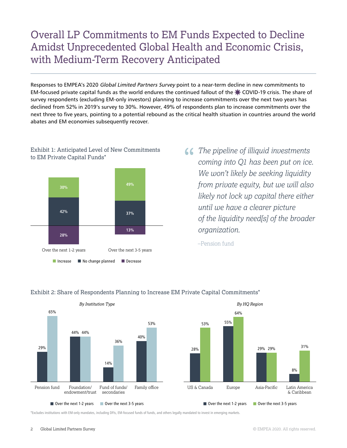# Overall LP Commitments to EM Funds Expected to Decline Amidst Unprecedented Global Health and Economic Crisis, with Medium-Term Recovery Anticipated

Responses to EMPEA's 2020 Global Limited Partners Survey point to a near-term decline in new commitments to EM-focused private capital funds as the world endures the continued fallout of the  $\ddot{\otimes}$  COVID-19 crisis. The share of survey respondents (excluding EM-only investors) planning to increase commitments over the next two years has declined from 52% in 2019's survey to 30%. However, 49% of respondents plan to increase commitments over the next three to five years, pointing to a potential rebound as the critical health situation in countries around the world abates and EM economies subsequently recover.

### Exhibit 1: Anticipated Level of New Commitments to EM Private Capital Funds\*



**The pipeline of illiquid investments**<br>
coming into Q1 has been put on ice *coming into Q1 has been put on ice. We won't likely be seeking liquidity from private equity, but we will also likely not lock up capital there either until we have a clearer picture of the liquidity need[s] of the broader organization.*

–Pension fund



### Exhibit 2: Share of Respondents Planning to Increase EM Private Capital Commitments\*

\*Excludes institutions with EM-only mandates, including DFIs, EM-focused funds of funds, and others legally mandated to invest in emerging markets.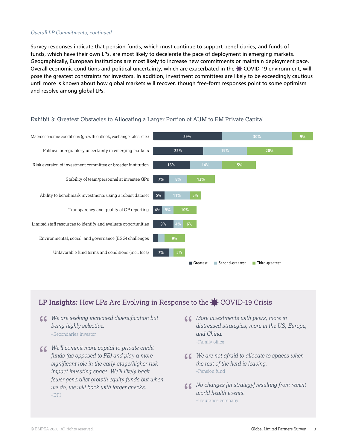#### *Overall LP Commitments, continued*

Survey responses indicate that pension funds, which must continue to support beneficiaries, and funds of funds, which have their own LPs, are most likely to decelerate the pace of deployment in emerging markets. Geographically, European institutions are most likely to increase new commitments or maintain deployment pace. Overall economic conditions and political uncertainty, which are exacerbated in the **※** COVID-19 environment, will pose the greatest constraints for investors. In addition, investment committees are likely to be exceedingly cautious until more is known about how global markets will recover, though free-form responses point to some optimism and resolve among global LPs.



#### Exhibit 3: Greatest Obstacles to Allocating a Larger Portion of AUM to EM Private Capital

### LP Insights: How LPs Are Evolving in Response to the  $\ddot{\bullet}$  COVID-19 Crisis

- **11 We are seeking increased diversification but**<br>
being highly selective.<br>
Secondaries investor *being highly selective.* –Secondaries investor
- *We'll commit more capital to private credit*<br>
funds (as opposed to PE) and play a more<br>
significant role in the early-stage/higher-ris *funds (as opposed to PE) and play a more significant role in the early-stage/higher-risk impact investing space. We'll likely back fewer generalist growth equity funds but when we do, we will back with larger checks.* –DFI
- **66** More investments with peers, more in distressed strategies, more in the US, and China *distressed strategies, more in the US, Europe, and China.* –Family office
- **66** We are not afraid to allocate to spaces when the rest of the herd is leaving.<br>
-Pension fund *the rest of the herd is leaving.* –Pension fund
- **66 No changes [in strategy] resulting from recent world health events.**<br>
 Insurance company *world health events.* –Insurance company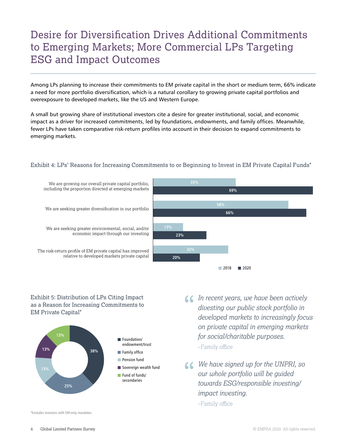# Desire for Diversification Drives Additional Commitments to Emerging Markets; More Commercial LPs Targeting ESG and Impact Outcomes

Among LPs planning to increase their commitments to EM private capital in the short or medium term, 66% indicate a need for more portfolio diversification, which is a natural corollary to growing private capital portfolios and overexposure to developed markets, like the US and Western Europe.

A small but growing share of institutional investors cite a desire for greater institutional, social, and economic impact as a driver for increased commitments, led by foundations, endowments, and family offices. Meanwhile, fewer LPs have taken comparative risk-return profiles into account in their decision to expand commitments to emerging markets.

### Exhibit 4: LPs' Reasons for Increasing Commitments to or Beginning to Invest in EM Private Capital Funds\*



Exhibit 5: Distribution of LPs Citing Impact as a Reason for Increasing Commitments to EM Private Capital\*



*In recent years, we have been actively<br>
divesting our public stock portfolio in*<br> *developed markets to increasingly focu divesting our public stock portfolio in developed markets to increasingly focus on private capital in emerging markets for social/charitable purposes.* –Family office

*We have signed up for the UNPRI, so*<br>
our whole portfolio will be guided<br>
towards ESG/responsible investing/ *our whole portfolio will be guided towards ESG/responsible investing/ impact investing.* –Family office

\*Excludes investors with EM-only mandates.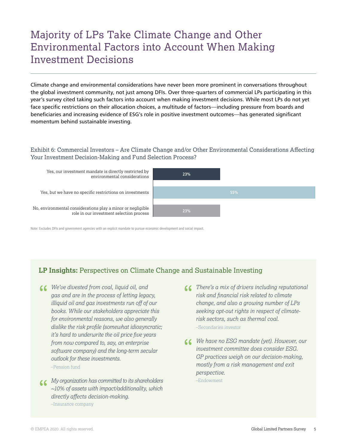# Majority of LPs Take Climate Change and Other Environmental Factors into Account When Making Investment Decisions

Climate change and environmental considerations have never been more prominent in conversations throughout the global investment community, not just among DFIs. Over three-quarters of commercial LPs participating in this year's survey cited taking such factors into account when making investment decisions. While most LPs do not yet face specific restrictions on their allocation choices, a multitude of factors—including pressure from boards and beneficiaries and increasing evidence of ESG's role in positive investment outcomes—has generated significant momentum behind sustainable investing.

Exhibit 6: Commercial Investors – Are Climate Change and/or Other Environmental Considerations Affecting Your Investment Decision-Making and Fund Selection Process?



Note: Excludes DFIs and government agencies with an explicit mandate to pursue economic development and social impact.

### **LP Insights:** Perspectives on Climate Change and Sustainable Investing

**66** *We've divested from coal, liquid oil, and gas and are in the process of letting legaliliquid oil and gas investments run off of gas and are in the process of letting legacy, illiquid oil and gas investments run off of our books. While our stakeholders appreciate this for environmental reasons, we also generally dislike the risk profile (somewhat idiosyncratic; it's hard to underwrite the oil price five years from now compared to, say, an enterprise software company) and the long-term secular outlook for these investments.*

–Pension fund

**66** *My organization has committed to its shareholders*<br>
~10% of assets with impact/additionality, which<br>
directly affects decision-making. *~10% of assets with impact/additionality, which directly affects decision-making.* –Insurance company

- **16 There's a mix of drivers including reputational<br>
risk and financial risk related to climate<br>
change, and also a grouping number of LPs** *risk and financial risk related to climate change, and also a growing number of LPs seeking opt-out rights in respect of climaterisk sectors, such as thermal coal.* –Secondaries investor
- *We have no ESG mandate (yet). However, our investment committee does consider ESG.*<br>*GP practices weigh on our decision-making investment committee does consider ESG. GP practices weigh on our decision-making, mostly from a risk management and exit perspective.* –Endowment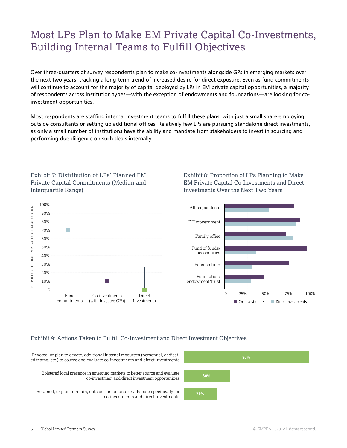# Most LPs Plan to Make EM Private Capital Co-Investments, Building Internal Teams to Fulfill Objectives

Over three-quarters of survey respondents plan to make co-investments alongside GPs in emerging markets over the next two years, tracking a long-term trend of increased desire for direct exposure. Even as fund commitments will continue to account for the majority of capital deployed by LPs in EM private capital opportunities, a majority of respondents across institution types—with the exception of endowments and foundations—are looking for coinvestment opportunities.

Most respondents are staffing internal investment teams to fulfill these plans, with just a small share employing outside consultants or setting up additional offices. Relatively few LPs are pursuing standalone direct investments, as only a small number of institutions have the ability and mandate from stakeholders to invest in sourcing and performing due diligence on such deals internally.

> Exhibit 8: Proportion of LPs Planning to Make EM Private Capital Co-Investments and Direct

Investments Over the Next Two Years



### Exhibit 7: Distribution of LPs' Planned EM Private Capital Commitments (Median and Interquartile Range)

Exhibit 9: Actions Taken to Fulfill Co-Investment and Direct Investment Objectives

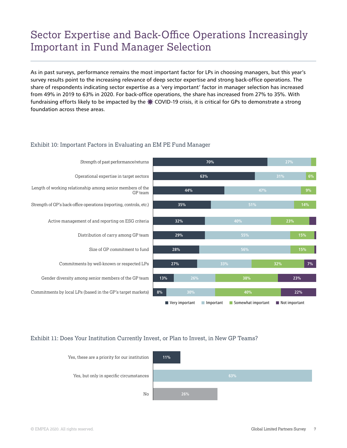# Sector Expertise and Back-Office Operations Increasingly Important in Fund Manager Selection

As in past surveys, performance remains the most important factor for LPs in choosing managers, but this year's survey results point to the increasing relevance of deep sector expertise and strong back-office operations. The share of respondents indicating sector expertise as a 'very important' factor in manager selection has increased from 49% in 2019 to 63% in 2020. For back-office operations, the share has increased from 27% to 35%. With fundraising efforts likely to be impacted by the  $\ddot{=}$  COVID-19 crisis, it is critical for GPs to demonstrate a strong foundation across these areas.

### Exhibit 10: Important Factors in Evaluating an EM PE Fund Manager



#### Exhibit 11: Does Your Institution Currently Invest, or Plan to Invest, in New GP Teams?

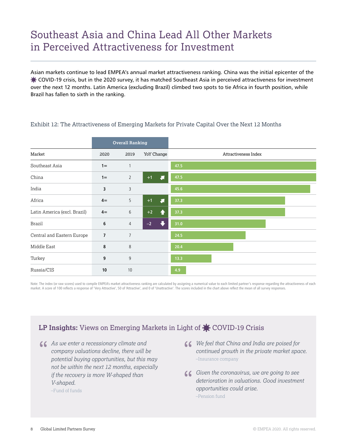# Southeast Asia and China Lead All Other Markets in Perceived Attractiveness for Investment

Asian markets continue to lead EMPEA's annual market attractiveness ranking. China was the initial epicenter of the COVID-19 crisis, but in the 2020 survey, it has matched Southeast Asia in perceived attractiveness for investment over the next 12 months. Latin America (excluding Brazil) climbed two spots to tie Africa in fourth position, while Brazil has fallen to sixth in the ranking.

|                              |                | <b>Overall Ranking</b> |                              |                      |
|------------------------------|----------------|------------------------|------------------------------|----------------------|
| Market                       | 2020           | 2019                   | YoY Change                   | Attractiveness Index |
| Southeast Asia               | $1 =$          | 1                      |                              | 47.5                 |
| China                        | $1 =$          | $\overline{2}$         | $+1$<br>$\overline{\bullet}$ | 47.5                 |
| India                        | 3              | 3                      |                              | 45.6                 |
| Africa                       | $4=$           | 5                      | $+1$<br>$\blacksquare$       | 37.3                 |
| Latin America (excl. Brazil) | $4=$           | 6                      | $+2$<br>Æ                    | 37.3                 |
| <b>Brazil</b>                | 6              | $\overline{4}$         | ГŢ<br>$-2$                   | 31.0                 |
| Central and Eastern Europe   | $\overline{7}$ | $\overline{7}$         |                              | 24.5                 |
| Middle East                  | 8              | $\,8\,$                |                              | 20.4                 |
| Turkey                       | 9              | 9                      |                              | 13.3                 |
| Russia/CIS                   | 10             | 10                     |                              | 4.9                  |

### Exhibit 12: The Attractiveness of Emerging Markets for Private Capital Over the Next 12 Months

Note: The index (or raw scores) used to compile EMPEA's market attractiveness ranking are calculated by assigning a numerical value to each limited partner's response regarding the attractiveness of each market. A score of 100 reflects a response of 'Very Attractive', 50 of 'Attractive', and 0 of 'Unattractive'. The scores included in the chart above reflect the mean of all survey responses.

### LP Insights: Views on Emerging Markets in Light of  $\bullet$  COVID-19 Crisis

- **66 As we enter a recessionary climate and<br>
company valuations decline, there will b<br>
notential buying opportunities but this is** *company valuations decline, there will be potential buying opportunities, but this may not be within the next 12 months, especially if the recovery is more W-shaped than V-shaped.*
	- –Fund of funds
- **66** *We feel that China and India are poised for* continued growth in the private market space-<br>
-Insurance company *continued growth in the private market space.* –Insurance company
- *Given the coronavirus, we are going to see<br>deterioration in valuations. Good investmer*<br>opportunities could arise *deterioration in valuations. Good investment opportunities could arise.* –Pension fund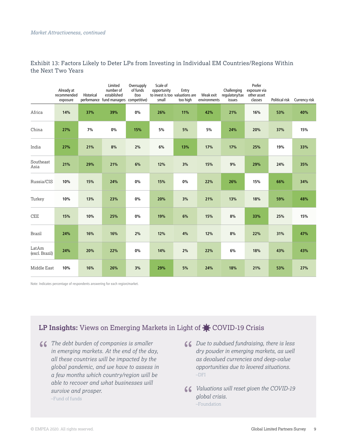|                         | Already at<br>recommended<br>exposure | Historical | Limited<br>number of<br>established<br>performance fund managers competitive) | Oversupply<br>of funds<br>(too | Scale of<br>opportunity<br>to invest is too valuations are<br>small | Entry<br>too high | Weak exit<br>environments | Challenging<br>regulatory/tax<br>issues | Prefer<br>exposure via<br>other asset<br>classes | Political risk | Currency risk |
|-------------------------|---------------------------------------|------------|-------------------------------------------------------------------------------|--------------------------------|---------------------------------------------------------------------|-------------------|---------------------------|-----------------------------------------|--------------------------------------------------|----------------|---------------|
| Africa                  | 14%                                   | 37%        | 39%                                                                           | 0%                             | 26%                                                                 | 11%               | 42%                       | 21%                                     | 16%                                              | 53%            | 40%           |
| China                   | 27%                                   | 7%         | $0\%$                                                                         | 15%                            | 5%                                                                  | 5%                | 5%                        | 24%                                     | 20%                                              | 37%            | 15%           |
| India                   | 27%                                   | 21%        | 8%                                                                            | 2%                             | 6%                                                                  | 13%               | 17%                       | 17%                                     | 25%                                              | 19%            | 33%           |
| Southeast<br>Asia       | 21%                                   | 29%        | 21%                                                                           | 6%                             | 12%                                                                 | 3%                | 15%                       | 9%                                      | 29%                                              | 24%            | 35%           |
| Russia/CIS              | 10%                                   | 15%        | 24%                                                                           | 0%                             | 15%                                                                 | 0%                | 22%                       | 26%                                     | 15%                                              | 66%            | 34%           |
| Turkey                  | 10%                                   | 13%        | 23%                                                                           | 0%                             | 20%                                                                 | 3%                | 21%                       | 13%                                     | 18%                                              | 59%            | 48%           |
| CEE                     | 15%                                   | 10%        | 25%                                                                           | $0\%$                          | 19%                                                                 | 6%                | 15%                       | 8%                                      | 33%                                              | 25%            | 15%           |
| <b>Brazil</b>           | 24%                                   | 16%        | 16%                                                                           | 2%                             | 12%                                                                 | 4%                | 12%                       | 8%                                      | 22%                                              | 31%            | 47%           |
| LatAm<br>(excl. Brazil) | 24%                                   | 20%        | 22%                                                                           | 0%                             | 14%                                                                 | 2%                | 22%                       | 6%                                      | 18%                                              | 43%            | 43%           |
| Middle East             | 10%                                   | 16%        | 26%                                                                           | 3%                             | 29%                                                                 | 5%                | 24%                       | 18%                                     | 21%                                              | 53%            | 27%           |

### Exhibit 13: Factors Likely to Deter LPs from Investing in Individual EM Countries/Regions Within the Next Two Years

Note: Indicates percentage of respondents answering for each region/market.

### LP Insights: Views on Emerging Markets in Light of  $\clubsuit$  COVID-19 Crisis

- **16 The debt burden of companies is smaller<br>
in emerging markets. At the end of the da<br>
all these countries will be impacted by the** *in emerging markets. At the end of the day, all these countries will be impacted by the global pandemic, and we have to assess in a few months which country/region will be able to recover and what businesses will survive and prosper.* –Fund of funds
- **66** Due to subdued fundraising, there is less dry powder in emerging markets, as well as devalued currencies and deen-value *dry powder in emerging markets, as well as devalued currencies and deep-value opportunities due to levered situations.* –DFI
- **66** Valuations will reset given the COVID-19 global crisis.<br>-Foundation *global crisis.* –Foundation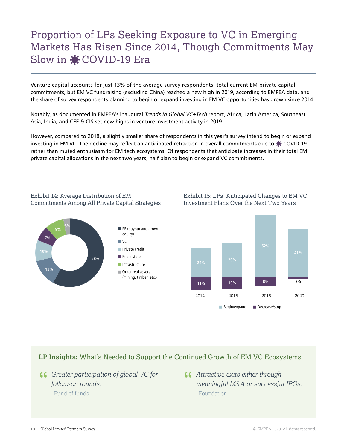# Proportion of LPs Seeking Exposure to VC in Emerging Markets Has Risen Since 2014, Though Commitments May Slow in  $\bigstar$  COVID-19 Era

Venture capital accounts for just 13% of the average survey respondents' total current EM private capital commitments, but EM VC fundraising (excluding China) reached a new high in 2019, according to EMPEA data, and the share of survey respondents planning to begin or expand investing in EM VC opportunities has grown since 2014.

Notably, as documented in EMPEA's inaugural [Trends In Global VC+Tech](https://www.empea.org/research/trends-in-global-vctech/) report, Africa, Latin America, Southeast Asia, India, and CEE & CIS set new highs in venture investment activity in 2019.

However, compared to 2018, a slightly smaller share of respondents in this year's survey intend to begin or expand investing in EM VC. The decline may reflect an anticipated retraction in overall commitments due to  $\ddot{\mathbf{w}}$  COVID-19 rather than muted enthusiasm for EM tech ecosystems. Of respondents that anticipate increases in their total EM private capital allocations in the next two years, half plan to begin or expand VC commitments.

#### Exhibit 14: Average Distribution of EM Commitments Among All Private Capital Strategies



Exhibit 15: LPs' Anticipated Changes to EM VC Investment Plans Over the Next Two Years



### **LP Insights:** What's Needed to Support the Continued Growth of EM VC Ecosystems

- **66** Greater participation of global VC for<br>
follow-on rounds. *follow-on rounds.* –Fund of funds
	- *Attractive exits either through meaningful M&A or successful IPOs.* –Foundation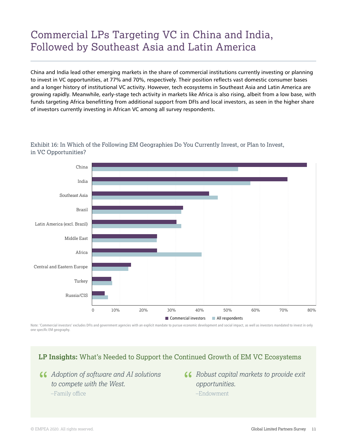# Commercial LPs Targeting VC in China and India, Followed by Southeast Asia and Latin America

China and India lead other emerging markets in the share of commercial institutions currently investing or planning to invest in VC opportunities, at 77% and 70%, respectively. Their position reflects vast domestic consumer bases and a longer history of institutional VC activity. However, tech ecosystems in Southeast Asia and Latin America are growing rapidly. Meanwhile, early-stage tech activity in markets like Africa is also rising, albeit from a low base, with funds targeting Africa benefitting from additional support from DFIs and local investors, as seen in the higher share of investors currently investing in African VC among all survey respondents.



Exhibit 16: In Which of the Following EM Geographies Do You Currently Invest, or Plan to Invest, in VC Opportunities?

Note: 'Commercial investors' excludes DFIs and government agencies with an explicit mandate to pursue economic development and social impact, as well as investors mandated to invest in only one specific EM geography.

**LP Insights:** What's Needed to Support the Continued Growth of EM VC Ecosystems

- C Adoption of software and AI solutions<br>to compete with the West. *to compete with the West.* –Family office
	- *Robust capital markets to provide exit opportunities.* –Endowment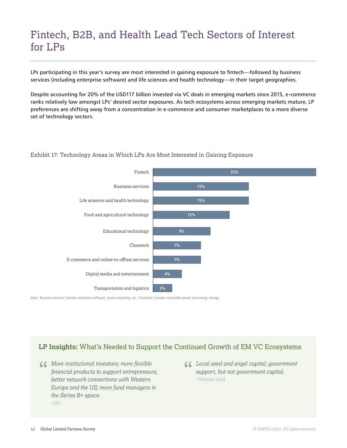# Fintech, B2B, and Health Lead Tech Sectors of Interest for LPs

LPs participating in this year's survey are most interested in gaining exposure to fintech—followed by business services (including enterprise software) and life sciences and health technology—in their target geographies.

Despite accounting for 20% of the USD117 billion invested via VC deals in emerging markets since 2015, e-commerce ranks relatively low amongst LPs' desired sector exposures. As tech ecosystems across emerging markets mature, LP preferences are shifting away from a concentration in e-commerce and consumer marketplaces to a more diverse set of technology sectors.

### Exhibit 17: Technology Areas in Which LPs Are Most Interested in Gaining Exposure



Note: 'Business services' includes enterprise software, cloud computing, etc. 'Cleantech' includes renewable power and energy storage.

### **LP Insights:** What's Needed to Support the Continued Growth of EM VC Ecosystems

- *More institutional investors; more flexible*<br>
financial products to support entrepreneur<br>
hetter network connections with Western *financial products to support entrepreneurs; better network connections with Western Europe and the US; more fund managers in the Series B+ space.* –DFI
- **44 Local seed and angel capital; government support, but not government capital.**<br>-Pension fund *support, but not government capital.* –Pension fund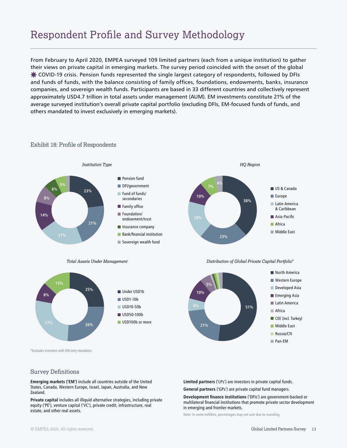### Respondent Profile and Survey Methodology

From February to April 2020, EMPEA surveyed 109 limited partners (each from a unique institution) to gather their views on private capital in emerging markets. The survey period coincided with the onset of the global COVID-19 crisis. Pension funds represented the single largest category of respondents, followed by DFIs and funds of funds, with the balance consisting of family offices, foundations, endowments, banks, insurance companies, and sovereign wealth funds. Participants are based in 33 different countries and collectively represent approximately USD4.7 trillion in total assets under management (AUM). EM investments constitute 21% of the average surveyed institution's overall private capital portfolio (excluding DFIs, EM-focused funds of funds, and others mandated to invest exclusively in emerging markets).



#### Exhibit 18: Profile of Respondents

 $13\%$ <br>  $25\%$ <br>  $25\%$ <br>  $26\%$ <br>  $26\%$ <br>  $26\%$ **N** Under USD1b  $\blacksquare$  USD1-10b n USD10-50b n USD50-100b **27% n** USD100b or more **25% 26%** 13%<br> **8%**<br> **8%**<br> **8%**<br> **8%**<br> **8%**<br> **8%**<br> **8%**<br> **8%**<br> **8%**<br> **8%**<br> **10%**<br> **8%**<br> **8%**<br> **8501100b**<br> **850100b**<br> **850100b**<br> **850100b**<br> **81%**<br> **81%**<br> **81%**<br> **81%**<br> **81%**<br> **81%**<br> **81%**<br> **81%** 



\*Excludes investors with EM-only mandates.

#### Survey Definitions

**Emerging markets ('EM')** include all countries outside of the United States, Canada, Western Europe, Israel, Japan, Australia, and New Zealand.

**Private capital** includes all illiquid alternative strategies, including private equity ('PE'), venture capital ('VC'), private credit, infrastructure, real estate, and other real assets.

**Limited partners** ('LPs') are investors in private capital funds.

**General partners** ('GPs') are private capital fund managers.

**Development finance institutions** ('DFIs') are government-backed or multilateral financial institutions that promote private sector development in emerging and frontier markets.

Note: In some exhibits, percentages may not sum due to rounding.